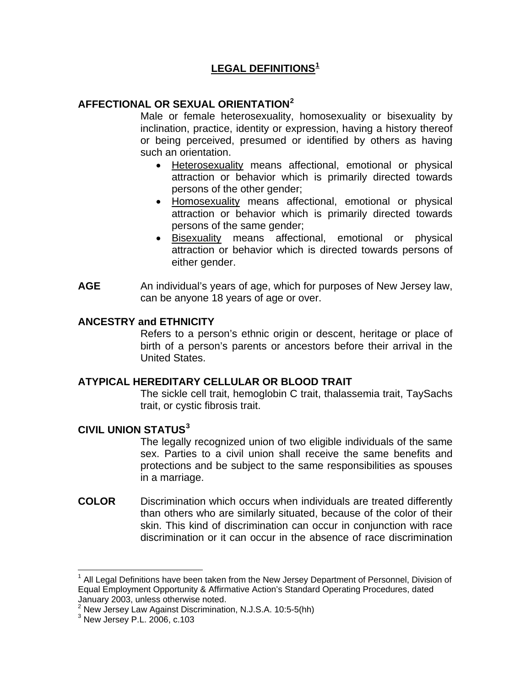# **LEGAL DEFINITIONS[1](#page-0-0)**

## **AFFECTIONAL OR SEXUAL ORIENTATION[2](#page-0-1)**

Male or female heterosexuality, homosexuality or bisexuality by inclination, practice, identity or expression, having a history thereof or being perceived, presumed or identified by others as having such an orientation.

- Heterosexuality means affectional, emotional or physical attraction or behavior which is primarily directed towards persons of the other gender;
- Homosexuality means affectional, emotional or physical attraction or behavior which is primarily directed towards persons of the same gender;
- Bisexuality means affectional, emotional or physical attraction or behavior which is directed towards persons of either gender.
- **AGE** An individual's years of age, which for purposes of New Jersey law, can be anyone 18 years of age or over.

## **ANCESTRY and ETHNICITY**

Refers to a person's ethnic origin or descent, heritage or place of birth of a person's parents or ancestors before their arrival in the United States.

## **ATYPICAL HEREDITARY CELLULAR OR BLOOD TRAIT**

The sickle cell trait, hemoglobin C trait, thalassemia trait, TaySachs trait, or cystic fibrosis trait.

## **CIVIL UNION STATUS[3](#page-0-2)**

The legally recognized union of two eligible individuals of the same sex. Parties to a civil union shall receive the same benefits and protections and be subject to the same responsibilities as spouses in a marriage.

**COLOR** Discrimination which occurs when individuals are treated differently than others who are similarly situated, because of the color of their skin. This kind of discrimination can occur in conjunction with race discrimination or it can occur in the absence of race discrimination

 $\overline{a}$ 

<span id="page-0-0"></span><sup>&</sup>lt;sup>1</sup> All Legal Definitions have been taken from the New Jersey Department of Personnel, Division of Equal Employment Opportunity & Affirmative Action's Standard Operating Procedures, dated

January 2003, unless otherwise noted.<br><sup>2</sup> New Jersey Law Against Discrimination, N.J.S.A. 10:5-5(hh)<br><sup>3</sup> New Jersey R.J., 2006, a 102.

<span id="page-0-2"></span><span id="page-0-1"></span><sup>&</sup>lt;sup>3</sup> New Jersey P.L. 2006, c.103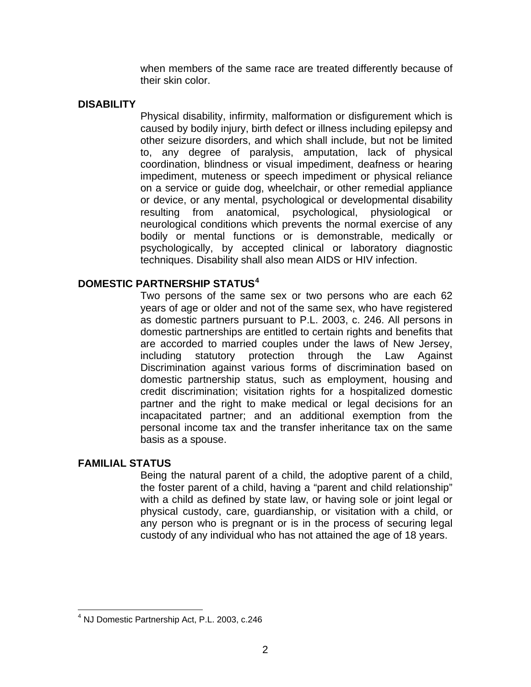when members of the same race are treated differently because of their skin color.

## **DISABILITY**

Physical disability, infirmity, malformation or disfigurement which is caused by bodily injury, birth defect or illness including epilepsy and other seizure disorders, and which shall include, but not be limited to, any degree of paralysis, amputation, lack of physical coordination, blindness or visual impediment, deafness or hearing impediment, muteness or speech impediment or physical reliance on a service or guide dog, wheelchair, or other remedial appliance or device, or any mental, psychological or developmental disability resulting from anatomical, psychological, physiological or neurological conditions which prevents the normal exercise of any bodily or mental functions or is demonstrable, medically or psychologically, by accepted clinical or laboratory diagnostic techniques. Disability shall also mean AIDS or HIV infection.

## **DOMESTIC PARTNERSHIP STATUS[4](#page-1-0)**

Two persons of the same sex or two persons who are each 62 years of age or older and not of the same sex, who have registered as domestic partners pursuant to P.L. 2003, c. 246. All persons in domestic partnerships are entitled to certain rights and benefits that are accorded to married couples under the laws of New Jersey, including statutory protection through the Law Against Discrimination against various forms of discrimination based on domestic partnership status, such as employment, housing and credit discrimination; visitation rights for a hospitalized domestic partner and the right to make medical or legal decisions for an incapacitated partner; and an additional exemption from the personal income tax and the transfer inheritance tax on the same basis as a spouse.

## **FAMILIAL STATUS**

 $\overline{a}$ 

Being the natural parent of a child, the adoptive parent of a child, the foster parent of a child, having a "parent and child relationship" with a child as defined by state law, or having sole or joint legal or physical custody, care, guardianship, or visitation with a child, or any person who is pregnant or is in the process of securing legal custody of any individual who has not attained the age of 18 years.

<span id="page-1-0"></span><sup>4</sup> NJ Domestic Partnership Act, P.L. 2003, c.246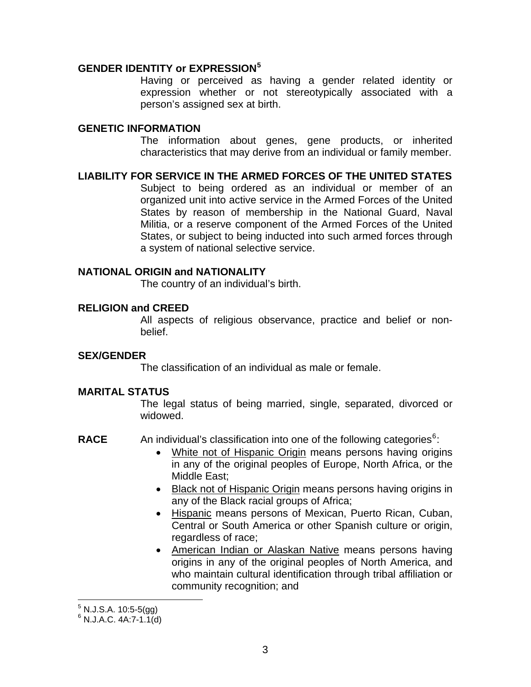## **GENDER IDENTITY or EXPRESSION[5](#page-2-0)**

Having or perceived as having a gender related identity or expression whether or not stereotypically associated with a person's assigned sex at birth.

### **GENETIC INFORMATION**

The information about genes, gene products, or inherited characteristics that may derive from an individual or family member.

**LIABILITY FOR SERVICE IN THE ARMED FORCES OF THE UNITED STATES** Subject to being ordered as an individual or member of an organized unit into active service in the Armed Forces of the United States by reason of membership in the National Guard, Naval Militia, or a reserve component of the Armed Forces of the United States, or subject to being inducted into such armed forces through a system of national selective service.

## **NATIONAL ORIGIN and NATIONALITY**

The country of an individual's birth.

#### **RELIGION and CREED**

All aspects of religious observance, practice and belief or nonbelief.

## **SEX/GENDER**

The classification of an individual as male or female.

## **MARITAL STATUS**

The legal status of being married, single, separated, divorced or widowed.

- RACE An individual's classification into one of the following categories<sup>[6](#page-2-1)</sup>:
	- White not of Hispanic Origin means persons having origins in any of the original peoples of Europe, North Africa, or the Middle East;
	- Black not of Hispanic Origin means persons having origins in any of the Black racial groups of Africa;
	- Hispanic means persons of Mexican, Puerto Rican, Cuban, Central or South America or other Spanish culture or origin, regardless of race;
	- American Indian or Alaskan Native means persons having origins in any of the original peoples of North America, and who maintain cultural identification through tribal affiliation or community recognition; and

 5 N.J.S.A. 10:5-5(gg)

<span id="page-2-1"></span><span id="page-2-0"></span> $6$  N.J.A.C. 4A:7-1.1(d)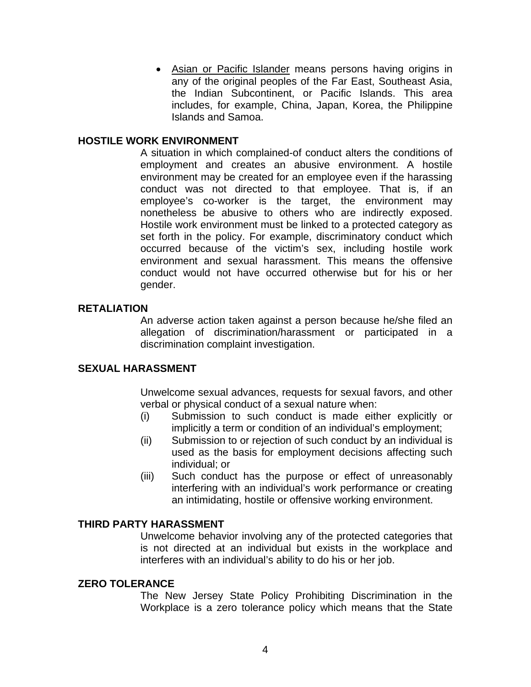• Asian or Pacific Islander means persons having origins in any of the original peoples of the Far East, Southeast Asia, the Indian Subcontinent, or Pacific Islands. This area includes, for example, China, Japan, Korea, the Philippine Islands and Samoa.

### **HOSTILE WORK ENVIRONMENT**

A situation in which complained-of conduct alters the conditions of employment and creates an abusive environment. A hostile environment may be created for an employee even if the harassing conduct was not directed to that employee. That is, if an employee's co-worker is the target, the environment may nonetheless be abusive to others who are indirectly exposed. Hostile work environment must be linked to a protected category as set forth in the policy. For example, discriminatory conduct which occurred because of the victim's sex, including hostile work environment and sexual harassment. This means the offensive conduct would not have occurred otherwise but for his or her gender.

#### **RETALIATION**

An adverse action taken against a person because he/she filed an allegation of discrimination/harassment or participated in a discrimination complaint investigation.

#### **SEXUAL HARASSMENT**

Unwelcome sexual advances, requests for sexual favors, and other verbal or physical conduct of a sexual nature when:

- (i) Submission to such conduct is made either explicitly or implicitly a term or condition of an individual's employment;
- (ii) Submission to or rejection of such conduct by an individual is used as the basis for employment decisions affecting such individual; or
- (iii) Such conduct has the purpose or effect of unreasonably interfering with an individual's work performance or creating an intimidating, hostile or offensive working environment.

#### **THIRD PARTY HARASSMENT**

Unwelcome behavior involving any of the protected categories that is not directed at an individual but exists in the workplace and interferes with an individual's ability to do his or her job.

#### **ZERO TOLERANCE**

The New Jersey State Policy Prohibiting Discrimination in the Workplace is a zero tolerance policy which means that the State